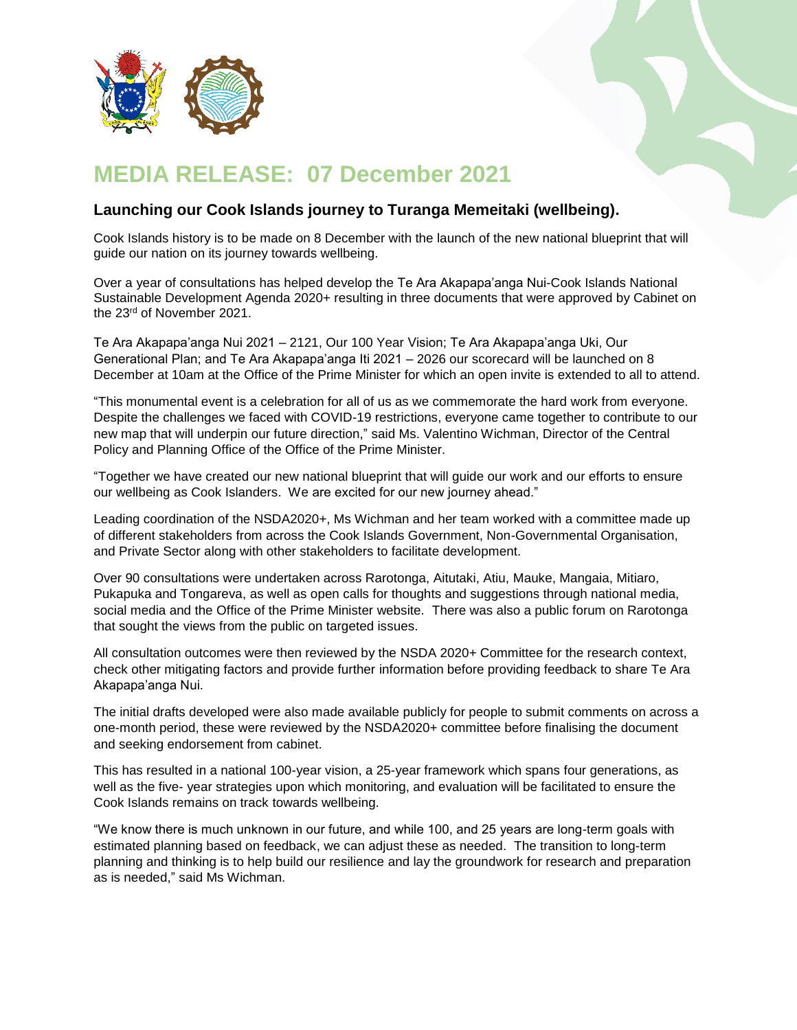

## **MEDIA RELEASE: 07 December 2021**

## **Launching our Cook Islands journey to Turanga Memeitaki (wellbeing).**

Cook Islands history is to be made on 8 December with the launch of the new national blueprint that will guide our nation on its journey towards wellbeing.

Over a year of consultations has helped develop the Te Ara Akapapa'anga Nui-Cook Islands National Sustainable Development Agenda 2020+ resulting in three documents that were approved by Cabinet on the 23<sup>rd</sup> of November 2021.

Te Ara Akapapa'anga Nui 2021 – 2121, Our 100 Year Vision; Te Ara Akapapa'anga Uki, Our Generational Plan; and Te Ara Akapapa'anga Iti 2021 – 2026 our scorecard will be launched on 8 December at 10am at the Office of the Prime Minister for which an open invite is extended to all to attend.

"This monumental event is a celebration for all of us as we commemorate the hard work from everyone. Despite the challenges we faced with COVID-19 restrictions, everyone came together to contribute to our new map that will underpin our future direction," said Ms. Valentino Wichman, Director of the Central Policy and Planning Office of the Office of the Prime Minister.

"Together we have created our new national blueprint that will guide our work and our efforts to ensure our wellbeing as Cook Islanders. We are excited for our new journey ahead."

Leading coordination of the NSDA2020+, Ms Wichman and her team worked with a committee made up of different stakeholders from across the Cook Islands Government, Non-Governmental Organisation, and Private Sector along with other stakeholders to facilitate development.

Over 90 consultations were undertaken across Rarotonga, Aitutaki, Atiu, Mauke, Mangaia, Mitiaro, Pukapuka and Tongareva, as well as open calls for thoughts and suggestions through national media, social media and the Office of the Prime Minister website. There was also a public forum on Rarotonga that sought the views from the public on targeted issues.

All consultation outcomes were then reviewed by the NSDA 2020+ Committee for the research context, check other mitigating factors and provide further information before providing feedback to share Te Ara Akapapa'anga Nui.

The initial drafts developed were also made available publicly for people to submit comments on across a one-month period, these were reviewed by the NSDA2020+ committee before finalising the document and seeking endorsement from cabinet.

This has resulted in a national 100-year vision, a 25-year framework which spans four generations, as well as the five- year strategies upon which monitoring, and evaluation will be facilitated to ensure the Cook Islands remains on track towards wellbeing.

"We know there is much unknown in our future, and while 100, and 25 years are long-term goals with estimated planning based on feedback, we can adjust these as needed. The transition to long-term planning and thinking is to help build our resilience and lay the groundwork for research and preparation as is needed," said Ms Wichman.